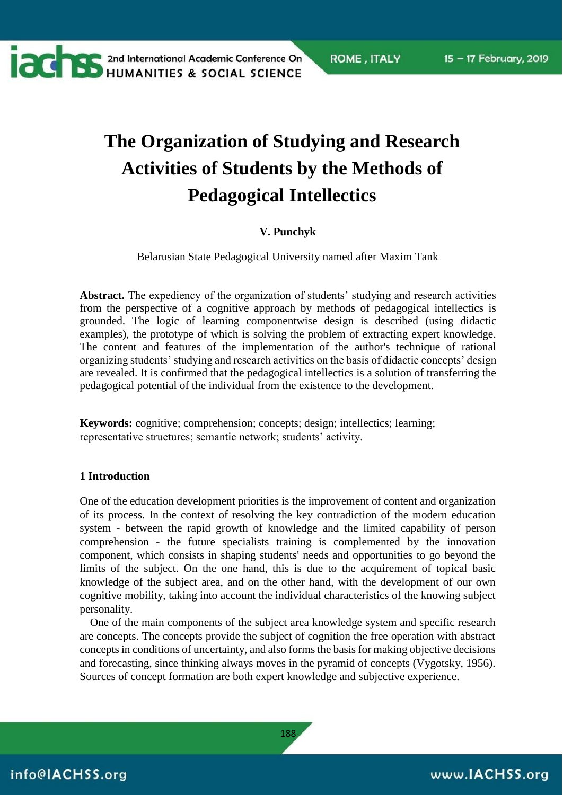### **The Organization of Studying and Research Activities of Students by the Methods of Pedagogical Intellectics**

#### **V. Punchyk**

Belarusian State Pedagogical University named after Maxim Tank

**Abstract.** The expediency of the organization of students' studying and research activities from the perspective of a cognitive approach by methods of pedagogical intellectics is grounded. The logic of learning componentwise design is described (using didactic examples), the prototype of which is solving the problem of extracting expert knowledge. The content and features of the implementation of the author's technique of rational organizing students' studying and research activities on the basis of didactic concepts' design are revealed. It is confirmed that the pedagogical intellectics is a solution of transferring the pedagogical potential of the individual from the existence to the development.

**Keywords:** cognitive; comprehension; concepts; design; intellectics; learning; representative structures; semantic network; students' activity.

#### **1 Introduction**

**CONTRES AND ARREST AND ACCEPTED MAIN AND ACCEPTED MAIN AND ACCEPT AND ACCEPT ACCEPTED MANUFACTS AND ACCEPTED MANUFACTS AND ACCEPTED MANUFACTS AND ACCEPTED MANUFACTS.** 

One of the education development priorities is the improvement of content and organization of its process. In the context of resolving the key contradiction of the modern education system - between the rapid growth of knowledge and the limited capability of person comprehension - the future specialists training is complemented by the innovation component, which consists in shaping students' needs and opportunities to go beyond the limits of the subject. On the one hand, this is due to the acquirement of topical basic knowledge of the subject area, and on the other hand, with the development of our own cognitive mobility, taking into account the individual characteristics of the knowing subject personality.

One of the main components of the subject area knowledge system and specific research are concepts. The concepts provide the subject of cognition the free operation with abstract concepts in conditions of uncertainty, and also forms the basis for making objective decisions and forecasting, since thinking always moves in the pyramid of concepts (Vygotsky, 1956). Sources of concept formation are both expert knowledge and subjective experience.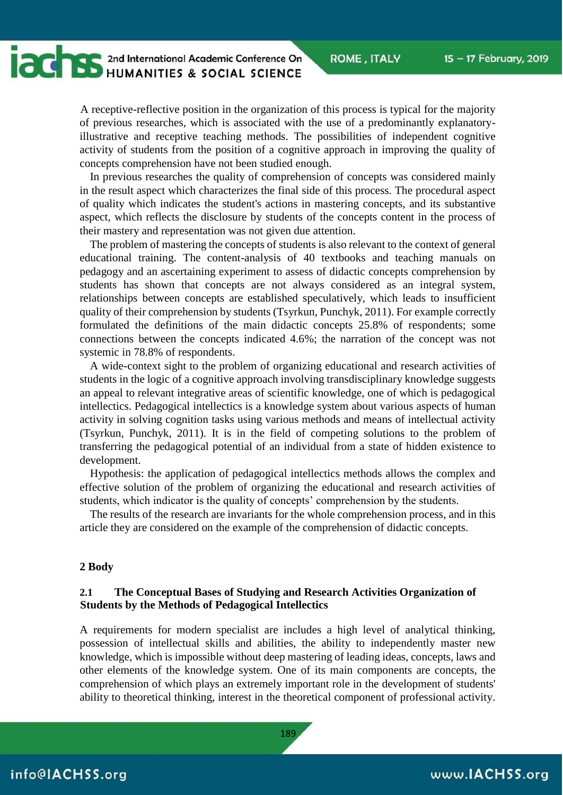15 - 17 February, 2019

**ROME, ITALY** 

### **CONTRESPONDED AND ANTIFIES & SOCIAL SCIENCE** HUMANITIES & SOCIAL SCIENCE

A receptive-reflective position in the organization of this process is typical for the majority of previous researches, which is associated with the use of a predominantly explanatoryillustrative and receptive teaching methods. The possibilities of independent cognitive activity of students from the position of a cognitive approach in improving the quality of concepts comprehension have not been studied enough.

In previous researches the quality of comprehension of concepts was considered mainly in the result aspect which characterizes the final side of this process. The procedural aspect of quality which indicates the student's actions in mastering concepts, and its substantive aspect, which reflects the disclosure by students of the concepts content in the process of their mastery and representation was not given due attention.

The problem of mastering the concepts of students is also relevant to the context of general educational training. The content-analysis of 40 textbooks and teaching manuals on pedagogy and an ascertaining experiment to assess of didactic concepts comprehension by students has shown that concepts are not always considered as an integral system, relationships between concepts are established speculatively, which leads to insufficient quality of their comprehension by students (Tsyrkun, Punchyk, 2011). For example correctly formulated the definitions of the main didactic concepts 25.8% of respondents; some connections between the concepts indicated 4.6%; the narration of the concept was not systemic in 78.8% of respondents.

A wide-context sight to the problem of organizing educational and research activities of students in the logic of a cognitive approach involving transdisciplinary knowledge suggests an appeal to relevant integrative areas of scientific knowledge, one of which is pedagogical intellectics. Pedagogical intellectics is a knowledge system about various aspects of human activity in solving cognition tasks using various methods and means of intellectual activity (Tsyrkun, Punchyk, 2011). It is in the field of competing solutions to the problem of transferring the pedagogical potential of an individual from a state of hidden existence to development.

Hypothesis: the application of pedagogical intellectics methods allows the complex and effective solution of the problem of organizing the educational and research activities of students, which indicator is the quality of concepts' comprehension by the students.

The results of the research are invariants for the whole comprehension process, and in this article they are considered on the example of the comprehension of didactic concepts.

#### **2 Body**

#### **2.1 The Conceptual Bases of Studying and Research Activities Organization of Students by the Methods of Pedagogical Intellectics**

A requirements for modern specialist are includes a high level of analytical thinking, possession of intellectual skills and abilities, the ability to independently master new knowledge, which is impossible without deep mastering of leading ideas, concepts, laws and other elements of the knowledge system. One of its main components are concepts, the comprehension of which plays an extremely important role in the development of students' ability to theoretical thinking, interest in the theoretical component of professional activity.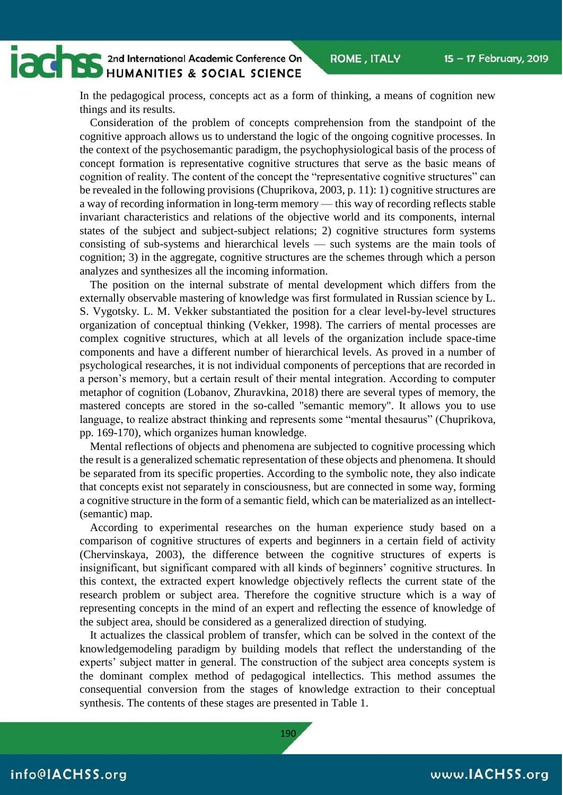## **CONTRES** 2nd International Academic Conference On

In the pedagogical process, concepts act as a form of thinking, a means of cognition new things and its results.

Consideration of the problem of concepts comprehension from the standpoint of the cognitive approach allows us to understand the logic of the ongoing cognitive processes. In the context of the psychosemantic paradigm, the psychophysiological basis of the process of concept formation is representative cognitive structures that serve as the basic means of cognition of reality. The content of the concept the "representative cognitive structures" can be revealed in the following provisions (Chuprikova, 2003, p. 11): 1) cognitive structures are a way of recording information in long-term memory — this way of recording reflects stable invariant characteristics and relations of the objective world and its components, internal states of the subject and subject-subject relations; 2) cognitive structures form systems consisting of sub-systems and hierarchical levels — such systems are the main tools of cognition; 3) in the aggregate, cognitive structures are the schemes through which a person analyzes and synthesizes all the incoming information.

The position on the internal substrate of mental development which differs from the externally observable mastering of knowledge was first formulated in Russian science by L. S. Vygotsky. L. M. Vekker substantiated the position for a clear level-by-level structures organization of conceptual thinking (Vekker, 1998). The carriers of mental processes are complex cognitive structures, which at all levels of the organization include space-time components and have a different number of hierarchical levels. As proved in a number of psychological researches, it is not individual components of perceptions that are recorded in a person's memory, but a certain result of their mental integration. According to computer metaphor of cognition (Lobanov, Zhuravkina, 2018) there are several types of memory, the mastered concepts are stored in the so-called "semantic memory". It allows you to use language, to realize abstract thinking and represents some "mental thesaurus" (Chuprikova, pp. 169-170), which organizes human knowledge.

Mental reflections of objects and phenomena are subjected to cognitive processing which the result is a generalized schematic representation of these objects and phenomena. It should be separated from its specific properties. According to the symbolic note, they also indicate that concepts exist not separately in consciousness, but are connected in some way, forming a cognitive structure in the form of a semantic field, which can be materialized as an intellect- (semantic) map.

According to experimental researches on the human experience study based on a comparison of cognitive structures of experts and beginners in a certain field of activity (Chervinskaya, 2003), the difference between the cognitive structures of experts is insignificant, but significant compared with all kinds of beginners' cognitive structures. In this context, the extracted expert knowledge objectively reflects the current state of the research problem or subject area. Therefore the cognitive structure which is a way of representing concepts in the mind of an expert and reflecting the essence of knowledge of the subject area, should be considered as a generalized direction of studying.

It actualizes the classical problem of transfer, which can be solved in the context of the knowledgemodeling paradigm by building models that reflect the understanding of the experts' subject matter in general. The construction of the subject area concepts system is the dominant complex method of pedagogical intellectics. This method assumes the consequential conversion from the stages of knowledge extraction to their conceptual synthesis. The contents of these stages are presented in Table 1.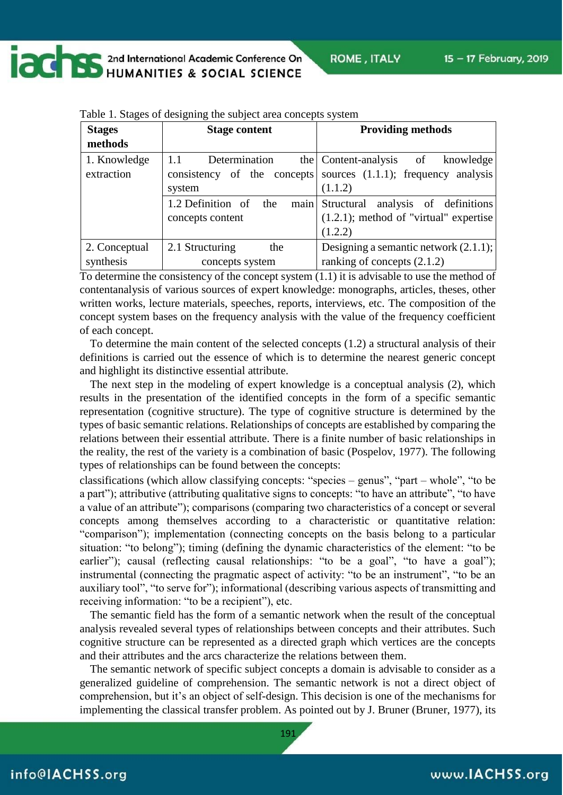**CONTRES AND ARREST AND ACCEPTED MAIN AND ACCEPTED MAIN AND ACCEPT ACCEPTED MAIN AND ACCEPTED MANUFACTURER** 

| <b>Stages</b><br>methods | <b>Stage content</b>             | <b>Providing methods</b>                                           |  |
|--------------------------|----------------------------------|--------------------------------------------------------------------|--|
| 1. Knowledge             | Determination<br>1.1             | the Content-analysis of<br>knowledge                               |  |
| extraction               |                                  | consistency of the concepts sources $(1.1.1)$ ; frequency analysis |  |
|                          | system                           | (1.1.2)                                                            |  |
|                          | 1.2 Definition of<br>main<br>the | analysis of definitions<br>Structural                              |  |
|                          | concepts content                 | $(1.2.1)$ ; method of "virtual" expertise                          |  |
|                          |                                  | (1.2.2)                                                            |  |
| 2. Conceptual            | 2.1 Structuring<br>the           | Designing a semantic network $(2.1.1);$                            |  |
| synthesis                | concepts system                  | ranking of concepts $(2.1.2)$                                      |  |

Table 1. Stages of designing the subject area concepts system

To determine the consistency of the concept system (1.1) it is advisable to use the method of contentanalysis of various sources of expert knowledge: monographs, articles, theses, other written works, lecture materials, speeches, reports, interviews, etc. The composition of the concept system bases on the frequency analysis with the value of the frequency coefficient of each concept.

To determine the main content of the selected concepts (1.2) a structural analysis of their definitions is carried out the essence of which is to determine the nearest generic concept and highlight its distinctive essential attribute.

The next step in the modeling of expert knowledge is a conceptual analysis (2), which results in the presentation of the identified concepts in the form of a specific semantic representation (cognitive structure). The type of cognitive structure is determined by the types of basic semantic relations. Relationships of concepts are established by comparing the relations between their essential attribute. There is a finite number of basic relationships in the reality, the rest of the variety is a combination of basic (Pospelov, 1977). The following types of relationships can be found between the concepts:

classifications (which allow classifying concepts: "species – genus", "part – whole", "to be a part"); attributive (attributing qualitative signs to concepts: "to have an attribute", "to have a value of an attribute"); comparisons (comparing two characteristics of a concept or several concepts among themselves according to a characteristic or quantitative relation: "comparison"); implementation (connecting concepts on the basis belong to a particular situation: "to belong"); timing (defining the dynamic characteristics of the element: "to be earlier"); causal (reflecting causal relationships: "to be a goal", "to have a goal"); instrumental (connecting the pragmatic aspect of activity: "to be an instrument", "to be an auxiliary tool", "to serve for"); informational (describing various aspects of transmitting and receiving information: "to be a recipient"), etc.

The semantic field has the form of a semantic network when the result of the conceptual analysis revealed several types of relationships between concepts and their attributes. Such cognitive structure can be represented as a directed graph which vertices are the concepts and their attributes and the arcs characterize the relations between them.

The semantic network of specific subject concepts a domain is advisable to consider as a generalized guideline of comprehension. The semantic network is not a direct object of comprehension, but it's an object of self-design. This decision is one of the mechanisms for implementing the classical transfer problem. As pointed out by J. Bruner (Bruner, 1977), its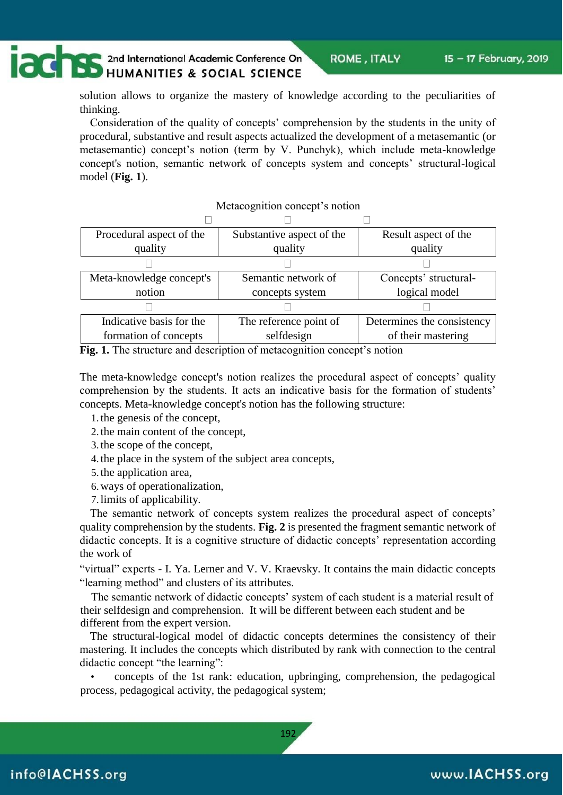## **CONTRES** 2nd International Academic Conference On

solution allows to organize the mastery of knowledge according to the peculiarities of thinking.

Consideration of the quality of concepts' comprehension by the students in the unity of procedural, substantive and result aspects actualized the development of a metasemantic (or metasemantic) concept's notion (term by V. Punchyk), which include meta-knowledge concept's notion, semantic network of concepts system and concepts' structural-logical model (**Fig. 1**).

Metacognition concept's notion

| <b>NUCROSHILLON</b> CONCEPT 3 HOUGH |                           |                            |  |
|-------------------------------------|---------------------------|----------------------------|--|
|                                     |                           |                            |  |
| Procedural aspect of the            | Substantive aspect of the | Result aspect of the       |  |
| quality                             | quality                   | quality                    |  |
|                                     |                           |                            |  |
| Meta-knowledge concept's            | Semantic network of       | Concepts' structural-      |  |
| notion                              | concepts system           | logical model              |  |
|                                     |                           |                            |  |
| Indicative basis for the            | The reference point of    | Determines the consistency |  |
| formation of concepts               | selfdesign                | of their mastering         |  |

#### **Fig. 1.** The structure and description of metacognition concept's notion

The meta-knowledge concept's notion realizes the procedural aspect of concepts' quality comprehension by the students. It acts an indicative basis for the formation of students' concepts. Meta-knowledge concept's notion has the following structure:

- 1. the genesis of the concept,
- 2. the main content of the concept,
- 3. the scope of the concept,
- 4. the place in the system of the subject area concepts,
- 5. the application area,
- 6.ways of operationalization,
- 7. limits of applicability.

The semantic network of concepts system realizes the procedural aspect of concepts' quality comprehension by the students. **Fig. 2** is presented the fragment semantic network of didactic concepts. It is a cognitive structure of didactic concepts' representation according the work of

"virtual" experts - I. Ya. Lerner and V. V. Kraevsky. It contains the main didactic concepts "learning method" and clusters of its attributes.

The semantic network of didactic concepts' system of each student is a material result of their selfdesign and comprehension. It will be different between each student and be different from the expert version.

The structural-logical model of didactic concepts determines the consistency of their mastering. It includes the concepts which distributed by rank with connection to the central didactic concept "the learning":

• concepts of the 1st rank: education, upbringing, comprehension, the pedagogical process, pedagogical activity, the pedagogical system;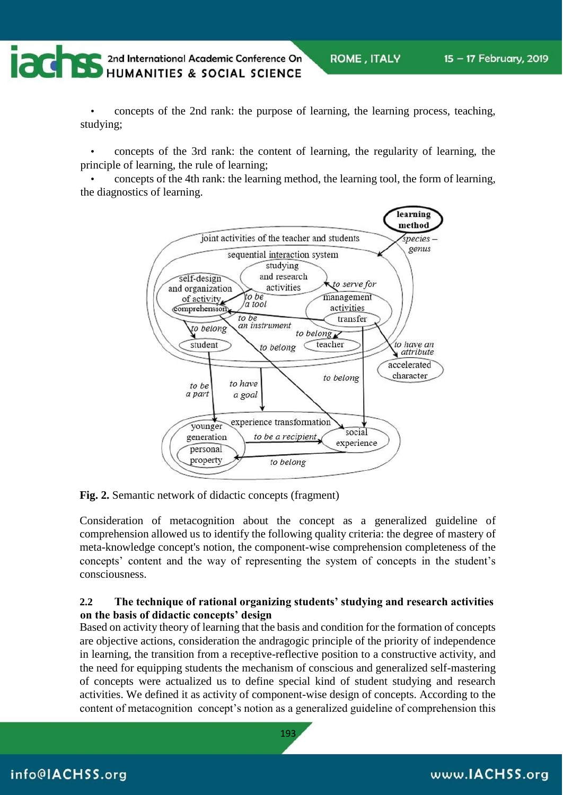**CONTRESPONDED AND ACCEPTED ACCEPTED ACCEPTED ACCEPTED ACCEPTED ACCEPTED ACCEPTED ACCEPTED ACCEPTED ACCEPTED ACCEPTED ACCEPTED ACCEPTED ACCEPTED ACCEPTED ACCEPTED ACCEPTED ACCEPTED ACCEPTED ACCEPTED ACCEPTED ACCEPTED ACCEP** 

• concepts of the 2nd rank: the purpose of learning, the learning process, teaching, studying;

• concepts of the 3rd rank: the content of learning, the regularity of learning, the principle of learning, the rule of learning;

• concepts of the 4th rank: the learning method, the learning tool, the form of learning, the diagnostics of learning.



**Fig. 2.** Semantic network of didactic concepts (fragment)

Consideration of metacognition about the concept as a generalized guideline of comprehension allowed us to identify the following quality criteria: the degree of mastery of meta-knowledge concept's notion, the component-wise comprehension completeness of the concepts' content and the way of representing the system of concepts in the student's consciousness.

#### **2.2 The technique of rational organizing students' studying and research activities on the basis of didactic concepts' design**

Based on activity theory of learning that the basis and condition for the formation of concepts are objective actions, consideration the andragogic principle of the priority of independence in learning, the transition from a receptive-reflective position to a constructive activity, and the need for equipping students the mechanism of conscious and generalized self-mastering of concepts were actualized us to define special kind of student studying and research activities. We defined it as activity of component-wise design of concepts. According to the content of metacognition concept's notion as a generalized guideline of comprehension this

### info@IACHSS.org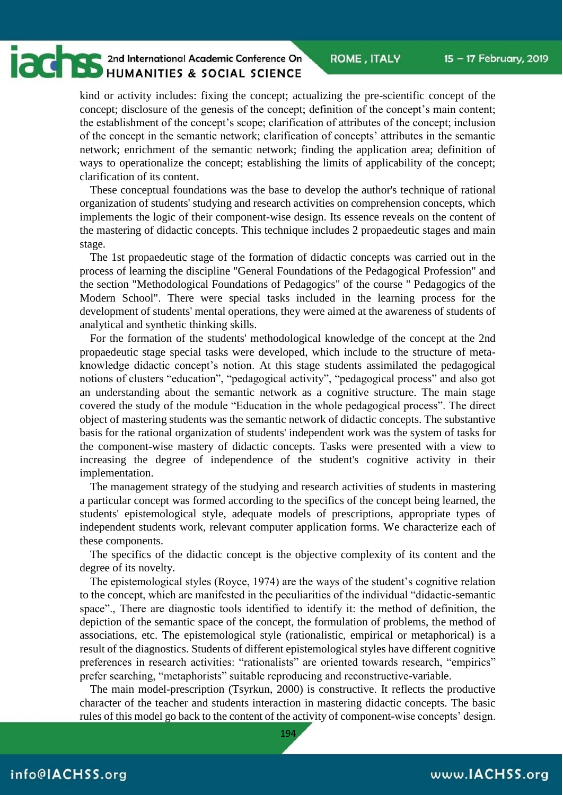# **CONTRES** 2nd International Academic Conference On

kind or activity includes: fixing the concept; actualizing the pre-scientific concept of the concept; disclosure of the genesis of the concept; definition of the concept's main content; the establishment of the concept's scope; clarification of attributes of the concept; inclusion of the concept in the semantic network; clarification of concepts' attributes in the semantic network; enrichment of the semantic network; finding the application area; definition of ways to operationalize the concept; establishing the limits of applicability of the concept; clarification of its content.

These conceptual foundations was the base to develop the author's technique of rational organization of students' studying and research activities on comprehension concepts, which implements the logic of their component-wise design. Its essence reveals on the content of the mastering of didactic concepts. This technique includes 2 propaedeutic stages and main stage.

The 1st propaedeutic stage of the formation of didactic concepts was carried out in the process of learning the discipline "General Foundations of the Pedagogical Profession" and the section "Methodological Foundations of Pedagogics" of the course " Pedagogics of the Modern School". There were special tasks included in the learning process for the development of students' mental operations, they were aimed at the awareness of students of analytical and synthetic thinking skills.

For the formation of the students' methodological knowledge of the concept at the 2nd propaedeutic stage special tasks were developed, which include to the structure of metaknowledge didactic concept's notion. At this stage students assimilated the pedagogical notions of clusters "education", "pedagogical activity", "pedagogical process" and also got an understanding about the semantic network as a cognitive structure. The main stage covered the study of the module "Education in the whole pedagogical process". The direct object of mastering students was the semantic network of didactic concepts. The substantive basis for the rational organization of students' independent work was the system of tasks for the component-wise mastery of didactic concepts. Tasks were presented with a view to increasing the degree of independence of the student's cognitive activity in their implementation.

The management strategy of the studying and research activities of students in mastering a particular concept was formed according to the specifics of the concept being learned, the students' epistemological style, adequate models of prescriptions, appropriate types of independent students work, relevant computer application forms. We characterize each of these components.

The specifics of the didactic concept is the objective complexity of its content and the degree of its novelty.

The epistemological styles (Royce, 1974) are the ways of the student's cognitive relation to the concept, which are manifested in the peculiarities of the individual "didactic-semantic space"., There are diagnostic tools identified to identify it: the method of definition, the depiction of the semantic space of the concept, the formulation of problems, the method of associations, etc. The epistemological style (rationalistic, empirical or metaphorical) is a result of the diagnostics. Students of different epistemological styles have different cognitive preferences in research activities: "rationalists" are oriented towards research, "empirics" prefer searching, "metaphorists" suitable reproducing and reconstructive-variable.

The main model-prescription (Tsyrkun, 2000) is constructive. It reflects the productive character of the teacher and students interaction in mastering didactic concepts. The basic rules of this model go back to the content of the activity of component-wise concepts' design.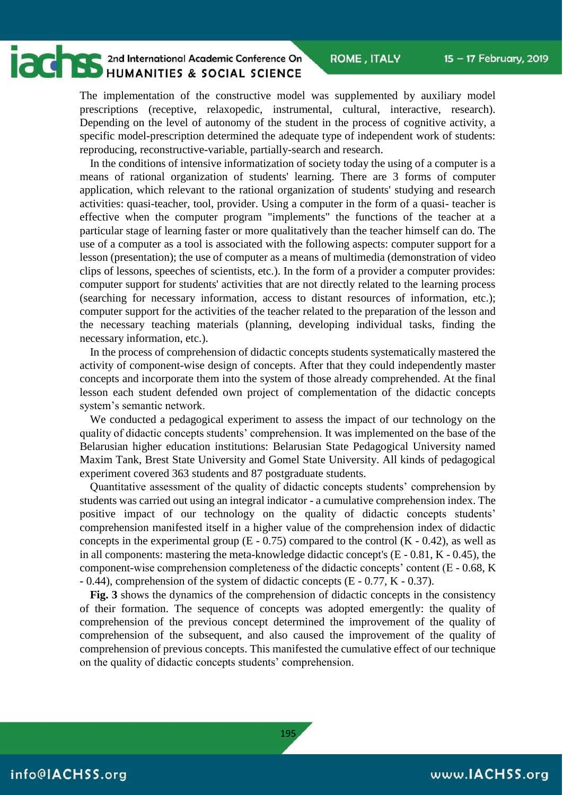### **CONTRACTOR** 2nd International Academic Conference On HUMANITIES & SOCIAL SCIENCE

The implementation of the constructive model was supplemented by auxiliary model prescriptions (receptive, relaxopedic, instrumental, cultural, interactive, research). Depending on the level of autonomy of the student in the process of cognitive activity, a specific model-prescription determined the adequate type of independent work of students: reproducing, reconstructive-variable, partially-search and research.

In the conditions of intensive informatization of society today the using of a computer is a means of rational organization of students' learning. There are 3 forms of computer application, which relevant to the rational organization of students' studying and research activities: quasi-teacher, tool, provider. Using a computer in the form of a quasi- teacher is effective when the computer program "implements" the functions of the teacher at a particular stage of learning faster or more qualitatively than the teacher himself can do. The use of a computer as a tool is associated with the following aspects: computer support for a lesson (presentation); the use of computer as a means of multimedia (demonstration of video clips of lessons, speeches of scientists, etc.). In the form of a provider a computer provides: computer support for students' activities that are not directly related to the learning process (searching for necessary information, access to distant resources of information, etc.); computer support for the activities of the teacher related to the preparation of the lesson and the necessary teaching materials (planning, developing individual tasks, finding the necessary information, etc.).

In the process of comprehension of didactic concepts students systematically mastered the activity of component-wise design of concepts. After that they could independently master concepts and incorporate them into the system of those already comprehended. At the final lesson each student defended own project of complementation of the didactic concepts system's semantic network.

We conducted a pedagogical experiment to assess the impact of our technology on the quality of didactic concepts students' comprehension. It was implemented on the base of the Belarusian higher education institutions: Belarusian State Pedagogical University named Maxim Tank, Brest State University and Gomel State University. All kinds of pedagogical experiment covered 363 students and 87 postgraduate students.

Quantitative assessment of the quality of didactic concepts students' comprehension by students was carried out using an integral indicator - a cumulative comprehension index. The positive impact of our technology on the quality of didactic concepts students' comprehension manifested itself in a higher value of the comprehension index of didactic concepts in the experimental group  $(E - 0.75)$  compared to the control  $(K - 0.42)$ , as well as in all components: mastering the meta-knowledge didactic concept's (E - 0.81, K - 0.45), the component-wise comprehension completeness of the didactic concepts' content (E - 0.68, K - 0.44), comprehension of the system of didactic concepts (E - 0.77, K - 0.37).

**Fig. 3** shows the dynamics of the comprehension of didactic concepts in the consistency of their formation. The sequence of concepts was adopted emergently: the quality of comprehension of the previous concept determined the improvement of the quality of comprehension of the subsequent, and also caused the improvement of the quality of comprehension of previous concepts. This manifested the cumulative effect of our technique on the quality of didactic concepts students' comprehension.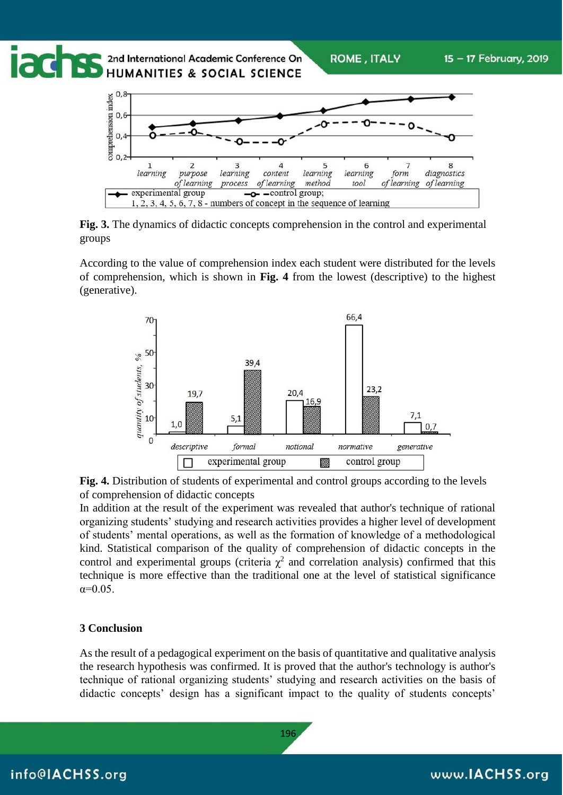

**Fig. 3.** The dynamics of didactic concepts comprehension in the control and experimental groups

According to the value of comprehension index each student were distributed for the levels of comprehension, which is shown in **Fig. 4** from the lowest (descriptive) to the highest (generative).





In addition at the result of the experiment was revealed that author's technique of rational organizing students' studying and research activities provides a higher level of development of students' mental operations, as well as the formation of knowledge of a methodological kind. Statistical comparison of the quality of comprehension of didactic concepts in the control and experimental groups (criteria  $\chi^2$  and correlation analysis) confirmed that this technique is more effective than the traditional one at the level of statistical significance  $α=0.05$ .

#### **3 Conclusion**

As the result of a pedagogical experiment on the basis of quantitative and qualitative analysis the research hypothesis was confirmed. It is proved that the author's technology is author's technique of rational organizing students' studying and research activities on the basis of didactic concepts' design has a significant impact to the quality of students concepts'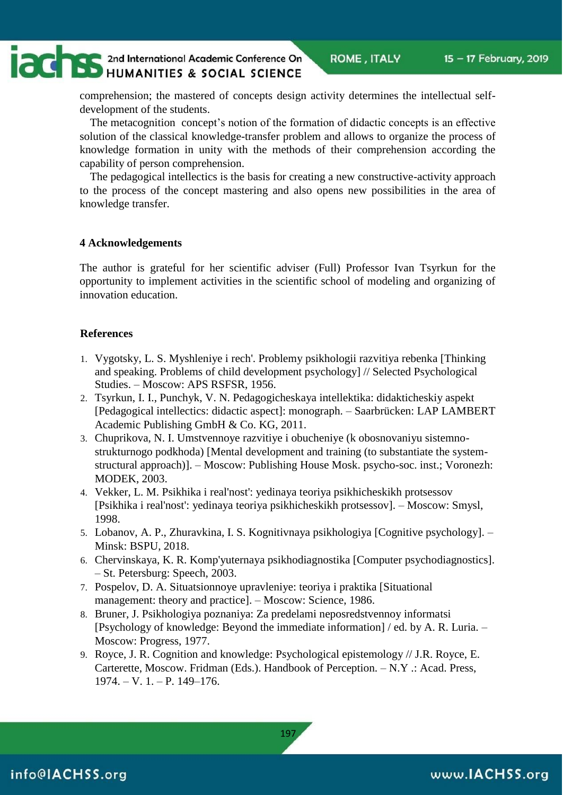## **CONTRES** 2nd International Academic Conference On

comprehension; the mastered of concepts design activity determines the intellectual selfdevelopment of the students.

The metacognition concept's notion of the formation of didactic concepts is an effective solution of the classical knowledge-transfer problem and allows to organize the process of knowledge formation in unity with the methods of their comprehension according the capability of person comprehension.

The pedagogical intellectics is the basis for creating a new constructive-activity approach to the process of the concept mastering and also opens new possibilities in the area of knowledge transfer.

#### **4 Acknowledgements**

The author is grateful for her scientific adviser (Full) Professor Ivan Tsyrkun for the opportunity to implement activities in the scientific school of modeling and organizing of innovation education.

#### **References**

- 1. Vygotsky, L. S. Myshleniye i rech'. Problemy psikhologii razvitiya rebenka [Thinking and speaking. Problems of child development psychology] // Selected Psychological Studies. – Moscow: APS RSFSR, 1956.
- 2. Tsyrkun, I. I., Punchyk, V. N. Pedagogicheskaya intellektika: didakticheskiy aspekt [Pedagogical intellectics: didactic aspect]: monograph. – Saarbrücken: LAP LAMBERT Academic Publishing GmbH & Co. KG, 2011.
- 3. Chuprikova, N. I. Umstvennoye razvitiye i obucheniye (k obosnovaniyu sistemnostrukturnogo podkhoda) [Mental development and training (to substantiate the systemstructural approach)]. – Moscow: Publishing House Mosk. psycho-soc. inst.; Voronezh: MODEK, 2003.
- 4. Vekker, L. M. Psikhika i real'nost': yedinaya teoriya psikhicheskikh protsessov [Psikhika i real'nost': yedinaya teoriya psikhicheskikh protsessov]. – Moscow: Smysl, 1998.
- 5. Lobanov, A. P., Zhuravkina, I. S. Kognitivnaya psikhologiya [Cognitive psychology]. Minsk: BSPU, 2018.
- 6. Chervinskaya, K. R. Komp'yuternaya psikhodiagnostika [Computer psychodiagnostics]. – St. Petersburg: Speech, 2003.
- 7. Pospelov, D. A. Situatsionnoye upravleniye: teoriya i praktika [Situational management: theory and practice]. – Moscow: Science, 1986.
- 8. Bruner, J. Psikhologiya poznaniya: Za predelami neposredstvennoy informatsi [Psychology of knowledge: Beyond the immediate information] / ed. by A. R. Luria. – Moscow: Progress, 1977.
- 9. Royce, J. R. Cognition and knowledge: Psychological epistemology // J.R. Royce, E. Carterette, Moscow. Fridman (Eds.). Handbook of Perception. – N.Y .: Acad. Press, 1974. – V. 1. – P. 149–176.